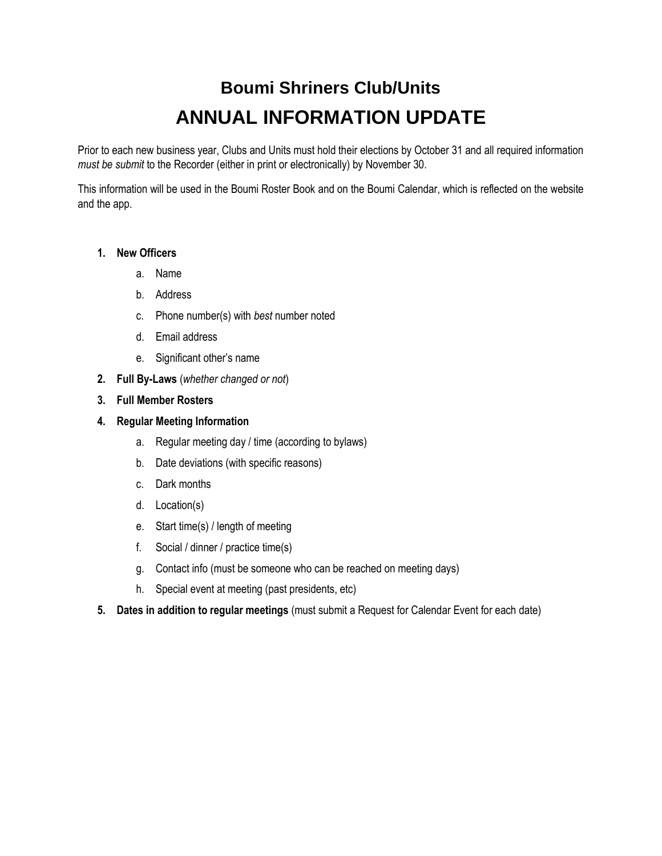## **Boumi Shriners Club/Units ANNUAL INFORMATION UPDATE**

Prior to each new business year, Clubs and Units must hold their elections by October 31 and all required information *must be submit* to the Recorder (either in print or electronically) by November 30.

This information will be used in the Boumi Roster Book and on the Boumi Calendar, which is reflected on the website and the app.

## **1. New Officers**

- a. Name
- b. Address
- c. Phone number(s) with *best* number noted
- d. Email address
- e. Significant other's name
- **2. Full By-Laws** (*whether changed or not*)
- **3. Full Member Rosters**

## **4. Regular Meeting Information**

- a. Regular meeting day / time (according to bylaws)
- b. Date deviations (with specific reasons)
- c. Dark months
- d. Location(s)
- e. Start time(s) / length of meeting
- f. Social / dinner / practice time(s)
- g. Contact info (must be someone who can be reached on meeting days)
- h. Special event at meeting (past presidents, etc)
- **5. Dates in addition to regular meetings** (must submit a Request for Calendar Event for each date)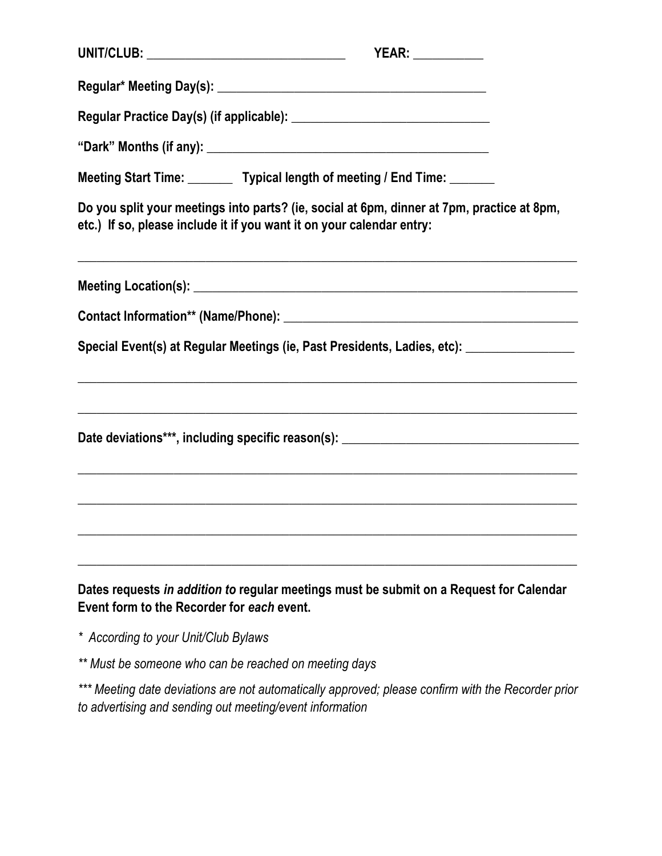| UNIT/CLUB: ___________________________________                                                                                                                      | <b>YEAR:</b> ____________                                                                                                                                             |  |
|---------------------------------------------------------------------------------------------------------------------------------------------------------------------|-----------------------------------------------------------------------------------------------------------------------------------------------------------------------|--|
|                                                                                                                                                                     |                                                                                                                                                                       |  |
|                                                                                                                                                                     |                                                                                                                                                                       |  |
|                                                                                                                                                                     |                                                                                                                                                                       |  |
|                                                                                                                                                                     | Meeting Start Time: ________ Typical length of meeting / End Time: ______                                                                                             |  |
| Do you split your meetings into parts? (ie, social at 6pm, dinner at 7pm, practice at 8pm,<br>etc.) If so, please include it if you want it on your calendar entry: |                                                                                                                                                                       |  |
|                                                                                                                                                                     | <u> 1989 - Johann John Stoff, deutscher Stoff, der Stoff, der Stoff, der Stoff, der Stoff, der Stoff, der Stoff, d</u>                                                |  |
|                                                                                                                                                                     |                                                                                                                                                                       |  |
|                                                                                                                                                                     | Special Event(s) at Regular Meetings (ie, Past Presidents, Ladies, etc): ______________                                                                               |  |
|                                                                                                                                                                     | Date deviations***, including specific reason(s): _______________________________<br>,我们也不能在这里的时候,我们也不能在这里的时候,我们也不能会在这里,我们也不能会在这里的时候,我们也不能会在这里的时候,我们也不能会在这里的时候,我们也不能会 |  |
|                                                                                                                                                                     |                                                                                                                                                                       |  |
| Event form to the Recorder for each event.                                                                                                                          | Dates requests in addition to regular meetings must be submit on a Request for Calendar                                                                               |  |

*\* According to your Unit/Club Bylaws*

*\*\* Must be someone who can be reached on meeting days*

*\*\*\* Meeting date deviations are not automatically approved; please confirm with the Recorder prior to advertising and sending out meeting/event information*